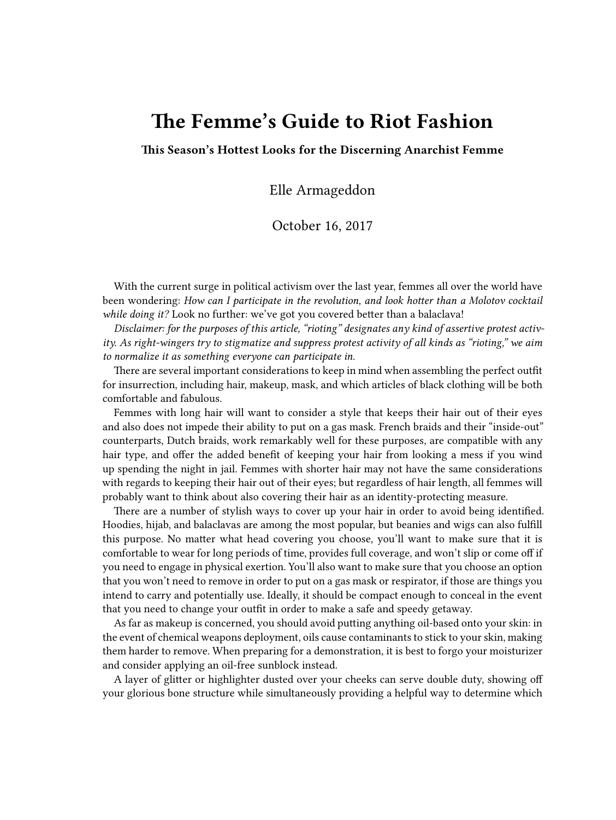## **The Femme's Guide to Riot Fashion**

**This Season's Hottest Looks for the Discerning Anarchist Femme**

Elle Armageddon

October 16, 2017

With the current surge in political activism over the last year, femmes all over the world have been wondering: *How can I participate in the revolution, and look hotter than a Molotov cocktail while doing it?* Look no further: we've got you covered better than a balaclava!

*Disclaimer: for the purposes of this article, "rioting" designates any kind of assertive protest activity. As right-wingers try to stigmatize and suppress protest activity of all kinds as "rioting," we aim to normalize it as something everyone can participate in.*

There are several important considerations to keep in mind when assembling the perfect outfit for insurrection, including hair, makeup, mask, and which articles of black clothing will be both comfortable and fabulous.

Femmes with long hair will want to consider a style that keeps their hair out of their eyes and also does not impede their ability to put on a gas mask. French braids and their "inside-out" counterparts, Dutch braids, work remarkably well for these purposes, are compatible with any hair type, and offer the added benefit of keeping your hair from looking a mess if you wind up spending the night in jail. Femmes with shorter hair may not have the same considerations with regards to keeping their hair out of their eyes; but regardless of hair length, all femmes will probably want to think about also covering their hair as an identity-protecting measure.

There are a number of stylish ways to cover up your hair in order to avoid being identified. Hoodies, hijab, and balaclavas are among the most popular, but beanies and wigs can also fulfill this purpose. No matter what head covering you choose, you'll want to make sure that it is comfortable to wear for long periods of time, provides full coverage, and won't slip or come off if you need to engage in physical exertion. You'll also want to make sure that you choose an option that you won't need to remove in order to put on a gas mask or respirator, if those are things you intend to carry and potentially use. Ideally, it should be compact enough to conceal in the event that you need to change your outfit in order to make a safe and speedy getaway.

As far as makeup is concerned, you should avoid putting anything oil-based onto your skin: in the event of chemical weapons deployment, oils cause contaminants to stick to your skin, making them harder to remove. When preparing for a demonstration, it is best to forgo your moisturizer and consider applying an oil-free sunblock instead.

A layer of glitter or highlighter dusted over your cheeks can serve double duty, showing off your glorious bone structure while simultaneously providing a helpful way to determine which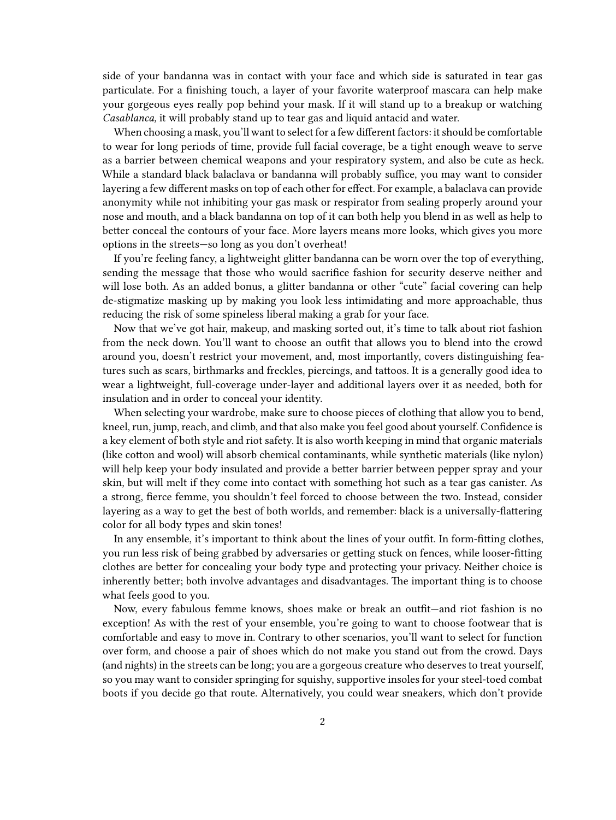side of your bandanna was in contact with your face and which side is saturated in tear gas particulate. For a finishing touch, a layer of your favorite waterproof mascara can help make your gorgeous eyes really pop behind your mask. If it will stand up to a breakup or watching *Casablanca,* it will probably stand up to tear gas and liquid antacid and water.

When choosing a mask, you'll want to select for a few different factors: it should be comfortable to wear for long periods of time, provide full facial coverage, be a tight enough weave to serve as a barrier between chemical weapons and your respiratory system, and also be cute as heck. While a standard black balaclava or bandanna will probably suffice, you may want to consider layering a few different masks on top of each other for effect. For example, a balaclava can provide anonymity while not inhibiting your gas mask or respirator from sealing properly around your nose and mouth, and a black bandanna on top of it can both help you blend in as well as help to better conceal the contours of your face. More layers means more looks, which gives you more options in the streets—so long as you don't overheat!

If you're feeling fancy, a lightweight glitter bandanna can be worn over the top of everything, sending the message that those who would sacrifice fashion for security deserve neither and will lose both. As an added bonus, a glitter bandanna or other "cute" facial covering can help de-stigmatize masking up by making you look less intimidating and more approachable, thus reducing the risk of some spineless liberal making a grab for your face.

Now that we've got hair, makeup, and masking sorted out, it's time to talk about riot fashion from the neck down. You'll want to choose an outfit that allows you to blend into the crowd around you, doesn't restrict your movement, and, most importantly, covers distinguishing features such as scars, birthmarks and freckles, piercings, and tattoos. It is a generally good idea to wear a lightweight, full-coverage under-layer and additional layers over it as needed, both for insulation and in order to conceal your identity.

When selecting your wardrobe, make sure to choose pieces of clothing that allow you to bend, kneel, run, jump, reach, and climb, and that also make you feel good about yourself. Confidence is a key element of both style and riot safety. It is also worth keeping in mind that organic materials (like cotton and wool) will absorb chemical contaminants, while synthetic materials (like nylon) will help keep your body insulated and provide a better barrier between pepper spray and your skin, but will melt if they come into contact with something hot such as a tear gas canister. As a strong, fierce femme, you shouldn't feel forced to choose between the two. Instead, consider layering as a way to get the best of both worlds, and remember: black is a universally-flattering color for all body types and skin tones!

In any ensemble, it's important to think about the lines of your outfit. In form-fitting clothes, you run less risk of being grabbed by adversaries or getting stuck on fences, while looser-fitting clothes are better for concealing your body type and protecting your privacy. Neither choice is inherently better; both involve advantages and disadvantages. The important thing is to choose what feels good to you.

Now, every fabulous femme knows, shoes make or break an outfit—and riot fashion is no exception! As with the rest of your ensemble, you're going to want to choose footwear that is comfortable and easy to move in. Contrary to other scenarios, you'll want to select for function over form, and choose a pair of shoes which do not make you stand out from the crowd. Days (and nights) in the streets can be long; you are a gorgeous creature who deserves to treat yourself, so you may want to consider springing for squishy, supportive insoles for your steel-toed combat boots if you decide go that route. Alternatively, you could wear sneakers, which don't provide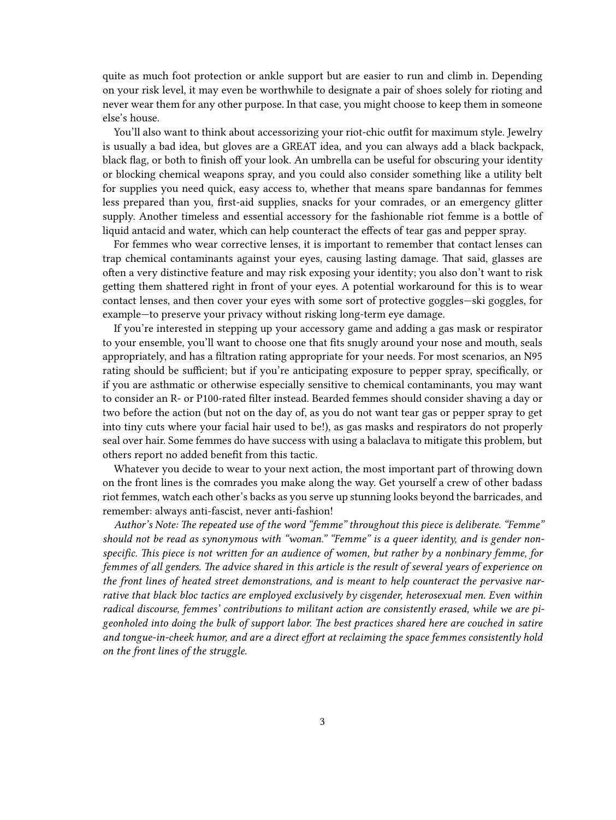quite as much foot protection or ankle support but are easier to run and climb in. Depending on your risk level, it may even be worthwhile to designate a pair of shoes solely for rioting and never wear them for any other purpose. In that case, you might choose to keep them in someone else's house.

You'll also want to think about accessorizing your riot-chic outfit for maximum style. Jewelry is usually a bad idea, but gloves are a GREAT idea, and you can always add a black backpack, black flag, or both to finish off your look. An umbrella can be useful for obscuring your identity or blocking chemical weapons spray, and you could also consider something like a utility belt for supplies you need quick, easy access to, whether that means spare bandannas for femmes less prepared than you, first-aid supplies, snacks for your comrades, or an emergency glitter supply. Another timeless and essential accessory for the fashionable riot femme is a bottle of liquid antacid and water, which can help counteract the effects of tear gas and pepper spray.

For femmes who wear corrective lenses, it is important to remember that contact lenses can trap chemical contaminants against your eyes, causing lasting damage. That said, glasses are often a very distinctive feature and may risk exposing your identity; you also don't want to risk getting them shattered right in front of your eyes. A potential workaround for this is to wear contact lenses, and then cover your eyes with some sort of protective goggles—ski goggles, for example—to preserve your privacy without risking long-term eye damage.

If you're interested in stepping up your accessory game and adding a gas mask or respirator to your ensemble, you'll want to choose one that fits snugly around your nose and mouth, seals appropriately, and has a filtration rating appropriate for your needs. For most scenarios, an N95 rating should be sufficient; but if you're anticipating exposure to pepper spray, specifically, or if you are asthmatic or otherwise especially sensitive to chemical contaminants, you may want to consider an R- or P100-rated filter instead. Bearded femmes should consider shaving a day or two before the action (but not on the day of, as you do not want tear gas or pepper spray to get into tiny cuts where your facial hair used to be!), as gas masks and respirators do not properly seal over hair. Some femmes do have success with using a balaclava to mitigate this problem, but others report no added benefit from this tactic.

Whatever you decide to wear to your next action, the most important part of throwing down on the front lines is the comrades you make along the way. Get yourself a crew of other badass riot femmes, watch each other's backs as you serve up stunning looks beyond the barricades, and remember: always anti-fascist, never anti-fashion!

*Author's Note: The repeated use of the word "femme" throughout this piece is deliberate. "Femme" should not be read as synonymous with "woman." "Femme" is a queer identity, and is gender nonspecific. This piece is not written for an audience of women, but rather by a nonbinary femme, for femmes of all genders. The advice shared in this article is the result of several years of experience on the front lines of heated street demonstrations, and is meant to help counteract the pervasive narrative that black bloc tactics are employed exclusively by cisgender, heterosexual men. Even within radical discourse, femmes' contributions to militant action are consistently erased, while we are pigeonholed into doing the bulk of support labor. The best practices shared here are couched in satire and tongue-in-cheek humor, and are a direct effort at reclaiming the space femmes consistently hold on the front lines of the struggle.*